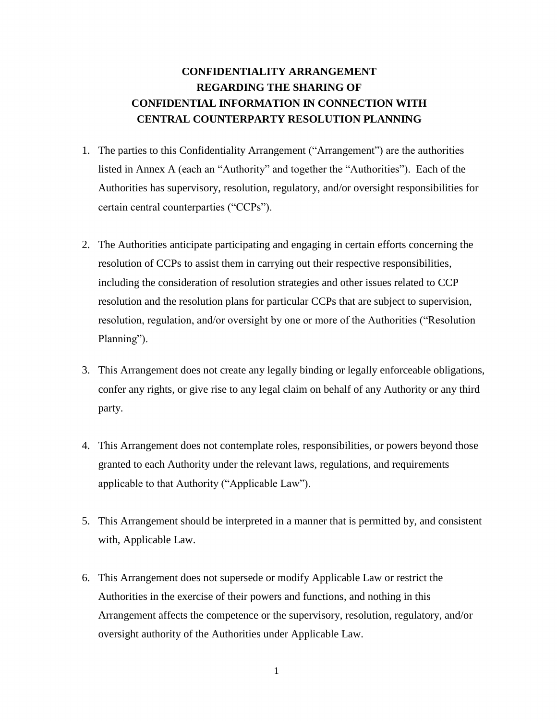# **CONFIDENTIALITY ARRANGEMENT REGARDING THE SHARING OF CONFIDENTIAL INFORMATION IN CONNECTION WITH CENTRAL COUNTERPARTY RESOLUTION PLANNING**

- 1. The parties to this Confidentiality Arrangement ("Arrangement") are the authorities listed in Annex A (each an "Authority" and together the "Authorities"). Each of the Authorities has supervisory, resolution, regulatory, and/or oversight responsibilities for certain central counterparties ("CCPs").
- 2. The Authorities anticipate participating and engaging in certain efforts concerning the resolution of CCPs to assist them in carrying out their respective responsibilities, including the consideration of resolution strategies and other issues related to CCP resolution and the resolution plans for particular CCPs that are subject to supervision, resolution, regulation, and/or oversight by one or more of the Authorities ("Resolution Planning").
- 3. This Arrangement does not create any legally binding or legally enforceable obligations, confer any rights, or give rise to any legal claim on behalf of any Authority or any third party.
- 4. This Arrangement does not contemplate roles, responsibilities, or powers beyond those granted to each Authority under the relevant laws, regulations, and requirements applicable to that Authority ("Applicable Law").
- 5. This Arrangement should be interpreted in a manner that is permitted by, and consistent with, Applicable Law.
- 6. This Arrangement does not supersede or modify Applicable Law or restrict the Authorities in the exercise of their powers and functions, and nothing in this Arrangement affects the competence or the supervisory, resolution, regulatory, and/or oversight authority of the Authorities under Applicable Law.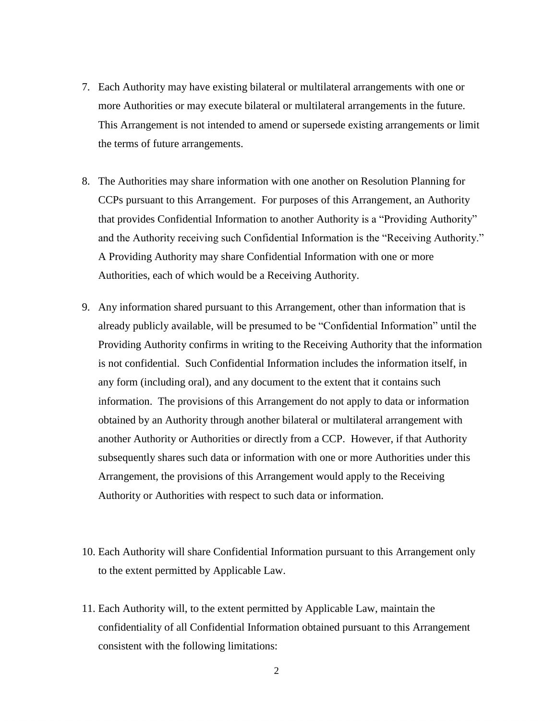- 7. Each Authority may have existing bilateral or multilateral arrangements with one or more Authorities or may execute bilateral or multilateral arrangements in the future. This Arrangement is not intended to amend or supersede existing arrangements or limit the terms of future arrangements.
- 8. The Authorities may share information with one another on Resolution Planning for CCPs pursuant to this Arrangement. For purposes of this Arrangement, an Authority that provides Confidential Information to another Authority is a "Providing Authority" and the Authority receiving such Confidential Information is the "Receiving Authority." A Providing Authority may share Confidential Information with one or more Authorities, each of which would be a Receiving Authority.
- 9. Any information shared pursuant to this Arrangement, other than information that is already publicly available, will be presumed to be "Confidential Information" until the Providing Authority confirms in writing to the Receiving Authority that the information is not confidential. Such Confidential Information includes the information itself, in any form (including oral), and any document to the extent that it contains such information. The provisions of this Arrangement do not apply to data or information obtained by an Authority through another bilateral or multilateral arrangement with another Authority or Authorities or directly from a CCP. However, if that Authority subsequently shares such data or information with one or more Authorities under this Arrangement, the provisions of this Arrangement would apply to the Receiving Authority or Authorities with respect to such data or information.
- 10. Each Authority will share Confidential Information pursuant to this Arrangement only to the extent permitted by Applicable Law.
- 11. Each Authority will, to the extent permitted by Applicable Law, maintain the confidentiality of all Confidential Information obtained pursuant to this Arrangement consistent with the following limitations: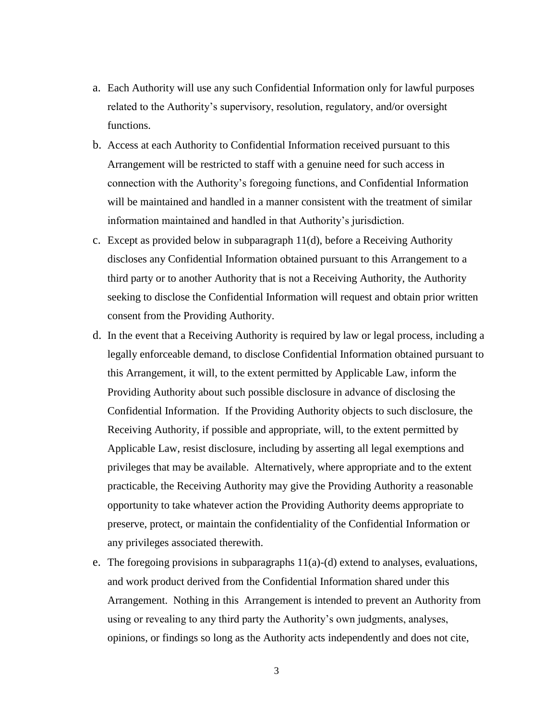- a. Each Authority will use any such Confidential Information only for lawful purposes related to the Authority's supervisory, resolution, regulatory, and/or oversight functions.
- b. Access at each Authority to Confidential Information received pursuant to this Arrangement will be restricted to staff with a genuine need for such access in connection with the Authority's foregoing functions, and Confidential Information will be maintained and handled in a manner consistent with the treatment of similar information maintained and handled in that Authority's jurisdiction.
- c. Except as provided below in subparagraph 11(d), before a Receiving Authority discloses any Confidential Information obtained pursuant to this Arrangement to a third party or to another Authority that is not a Receiving Authority, the Authority seeking to disclose the Confidential Information will request and obtain prior written consent from the Providing Authority.
- d. In the event that a Receiving Authority is required by law or legal process, including a legally enforceable demand, to disclose Confidential Information obtained pursuant to this Arrangement, it will, to the extent permitted by Applicable Law, inform the Providing Authority about such possible disclosure in advance of disclosing the Confidential Information. If the Providing Authority objects to such disclosure, the Receiving Authority, if possible and appropriate, will, to the extent permitted by Applicable Law, resist disclosure, including by asserting all legal exemptions and privileges that may be available. Alternatively, where appropriate and to the extent practicable, the Receiving Authority may give the Providing Authority a reasonable opportunity to take whatever action the Providing Authority deems appropriate to preserve, protect, or maintain the confidentiality of the Confidential Information or any privileges associated therewith.
- e. The foregoing provisions in subparagraphs  $11(a)-(d)$  extend to analyses, evaluations, and work product derived from the Confidential Information shared under this Arrangement. Nothing in this Arrangement is intended to prevent an Authority from using or revealing to any third party the Authority's own judgments, analyses, opinions, or findings so long as the Authority acts independently and does not cite,

3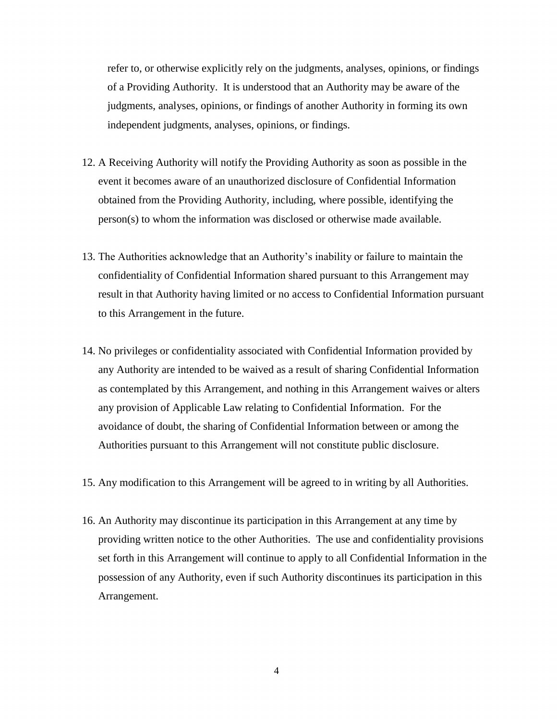refer to, or otherwise explicitly rely on the judgments, analyses, opinions, or findings of a Providing Authority. It is understood that an Authority may be aware of the judgments, analyses, opinions, or findings of another Authority in forming its own independent judgments, analyses, opinions, or findings.

- 12. A Receiving Authority will notify the Providing Authority as soon as possible in the event it becomes aware of an unauthorized disclosure of Confidential Information obtained from the Providing Authority, including, where possible, identifying the person(s) to whom the information was disclosed or otherwise made available.
- 13. The Authorities acknowledge that an Authority's inability or failure to maintain the confidentiality of Confidential Information shared pursuant to this Arrangement may result in that Authority having limited or no access to Confidential Information pursuant to this Arrangement in the future.
- 14. No privileges or confidentiality associated with Confidential Information provided by any Authority are intended to be waived as a result of sharing Confidential Information as contemplated by this Arrangement, and nothing in this Arrangement waives or alters any provision of Applicable Law relating to Confidential Information. For the avoidance of doubt, the sharing of Confidential Information between or among the Authorities pursuant to this Arrangement will not constitute public disclosure.
- 15. Any modification to this Arrangement will be agreed to in writing by all Authorities.
- 16. An Authority may discontinue its participation in this Arrangement at any time by providing written notice to the other Authorities. The use and confidentiality provisions set forth in this Arrangement will continue to apply to all Confidential Information in the possession of any Authority, even if such Authority discontinues its participation in this Arrangement.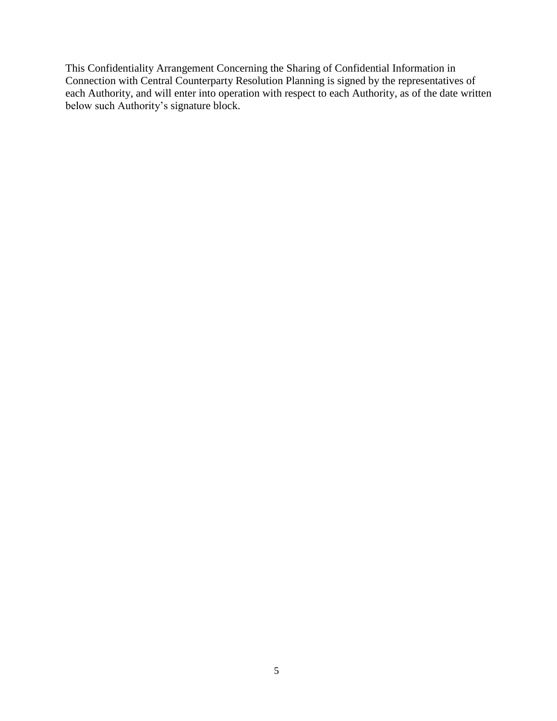This Confidentiality Arrangement Concerning the Sharing of Confidential Information in Connection with Central Counterparty Resolution Planning is signed by the representatives of each Authority, and will enter into operation with respect to each Authority, as of the date written below such Authority's signature block.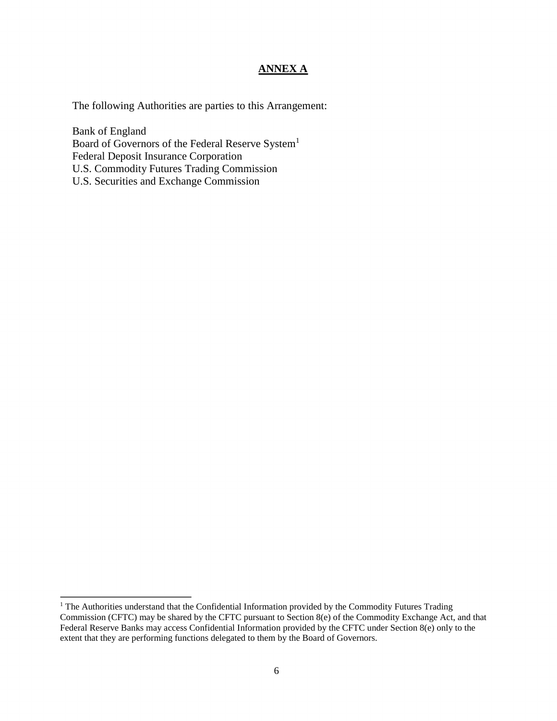#### **ANNEX A**

The following Authorities are parties to this Arrangement:

Bank of England Board of Governors of the Federal Reserve System<sup>1</sup> Federal Deposit Insurance Corporation U.S. Commodity Futures Trading Commission U.S. Securities and Exchange Commission

 $\overline{a}$ 

<sup>&</sup>lt;sup>1</sup> The Authorities understand that the Confidential Information provided by the Commodity Futures Trading Commission (CFTC) may be shared by the CFTC pursuant to Section 8(e) of the Commodity Exchange Act, and that Federal Reserve Banks may access Confidential Information provided by the CFTC under Section 8(e) only to the extent that they are performing functions delegated to them by the Board of Governors.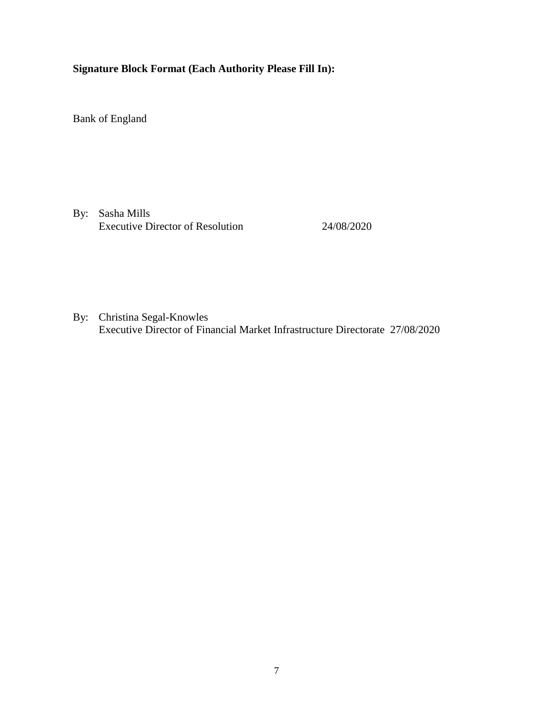### **Signature Block Format (Each Authority Please Fill In):**

Bank of England

By: Sasha Mills Executive Director of Resolution 24/08/2020

By: Christina Segal-Knowles Executive Director of Financial Market Infrastructure Directorate 27/08/2020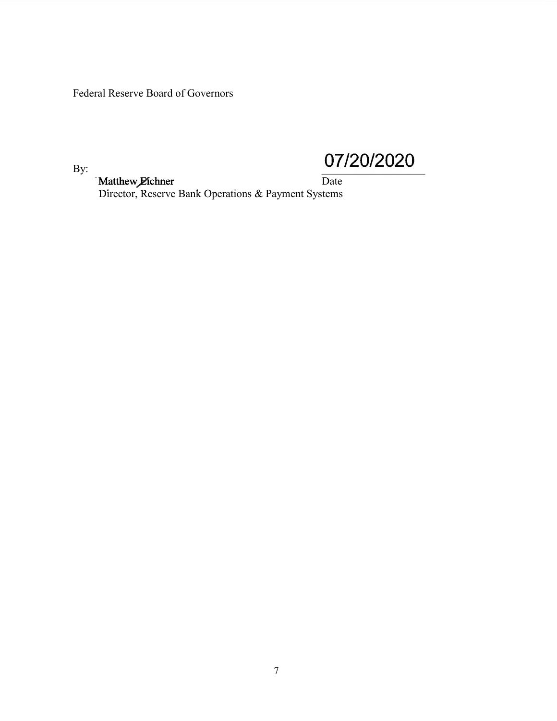Federal Reserve Board of Governors

By:

07/20/2020

Matthew Eichner<br>Director, Reserve Bank Operations & Payment Systems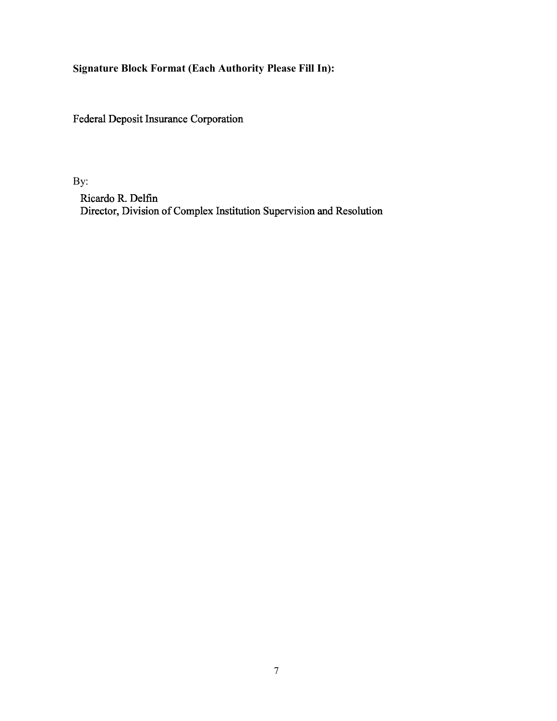Signature Block Format (Each Authority Please Fill In):

Federal Deposit Insurance Corporation

By:

Ricardo R. Delfin Director, Division of Complex Institution Supervision and Resolution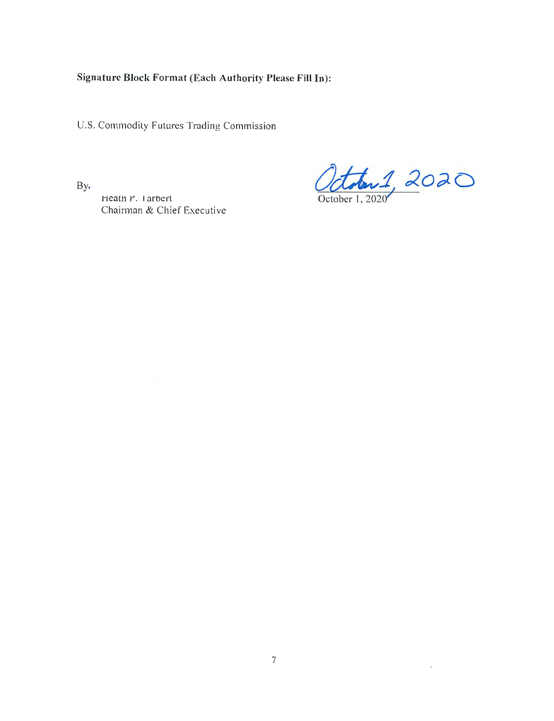## Signature Block Format (Each Authority Please Fill In):

U.S. Commodity Futures Trading Commission

Heath P. Tarbert

Chairman & Chief Executive

 $\sim$ 

By.

October 1, 2020

 $\mathcal{A}$